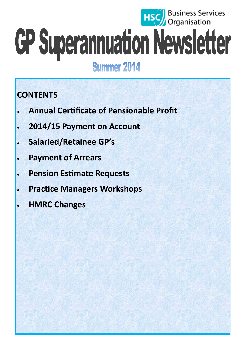# **HSC** Business Services GP Superannuation Newsletter **Summer 2014**

## **CONTENTS**

- **Annual Certificate of Pensionable Profit**
- **2014/15 Payment on Account**
- **Salaried/Retainee GP's**
- **Payment of Arrears**
- **Pension Estimate Requests**
- **Practice Managers Workshops**
- **HMRC Changes**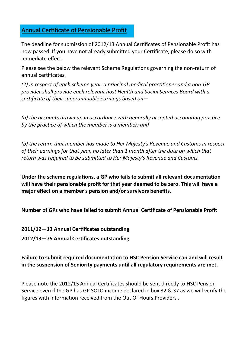## Annual Certificate of Pensionable Profit

The deadline for submission of 2012/13 Annual Certificates of Pensionable Profit has now passed. If you have not already submitted your Certificate, please do so with immediate effect.

Please see the below the relevant Scheme Regulations governing the non-return of annual certificates.

*(2) In respect of each scheme year, a principal medical practitioner and a non-GP provider shall provide each relevant host Health and Social Services Board with a certificate of their superannuable earnings based on—*

*(a) the accounts drawn up in accordance with generally accepted accounting practice by the practice of which the member is a member; and* 

*(b) the return that member has made to Her Majesty's Revenue and Customs in respect of their earnings for that year, no later than 1 month after the date on which that return was required to be submitted to Her Majesty's Revenue and Customs.* 

**Under the scheme regulations, a GP who fails to submit all relevant documentation will have their pensionable profit for that year deemed to be zero. This will have a major effect on a member's pension and/or survivors benefits.** 

**Number of GPs who have failed to submit Annual Certificate of Pensionable Profit** 

**2011/12—13 Annual Certificates outstanding**

**2012/13—75 Annual Certificates outstanding**

## **Failure to submit required documentation to HSC Pension Service can and will result in the suspension of Seniority payments until all regulatory requirements are met.**

Please note the 2012/13 Annual Certificates should be sent directly to HSC Pension Service even if the GP has GP SOLO income declared in box 32 & 37 as we will verify the figures with information received from the Out Of Hours Providers .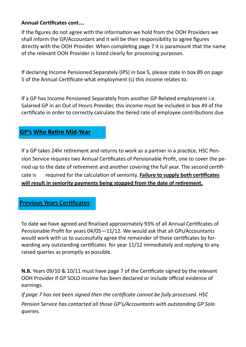### **Annual Certificates cont….**

If the figures do not agree with the information we hold from the OOH Providers we shall inform the GP/Accountant and it will be their responsibility to agree figures directly with the OOH Provider. When completing page 7 it is paramount that the name of the relevant OOH Provider is listed clearly for processing purposes.

If declaring Income Pensioned Separately (IPS) in box 5, please state in box 89 on page 5 of the Annual Certificate what employment (s) this income relates to.

If a GP has Income Pensioned Separately from another GP Related employment i.e. Salaried GP in an Out of Hours Provider, this income must be included in box 49 of the certificate in order to correctly calculate the tiered rate of employee contributions due

## **GP's Who Retire Mid-Year**

If a GP takes 24hr retirement and returns to work as a partner in a practice, HSC Pension Service requires two Annual Certificates of Pensionable Profit, one to cover the period up to the date of retirement and another covering the full year. The second certificate is required for the calculation of seniority. **Failure to supply both certificates will result in seniority payments being stopped from the date of retirement.**

## Previous Years Certificates

To date we have agreed and finalised approximately 93% of all Annual Certificates of Pensionable Profit for years 04/05—11/12. We would ask that all GPs/Accountants would work with us to successfully agree the remainder of these certificates by forwarding any outstanding certificates for year 11/12 immediately and replying to any raised queries as promptly as possible.

**N.B.** Years 09/10 & 10/11 must have page 7 of the Certificate signed by the relevant OOH Provider if GP SOLO income has been declared or include official evidence of earnings.

*If page 7 has not been signed then the certificate cannot be fully processed. HSC Pension Service has contacted all those GP's/Accountants with outstanding GP Solo queries.*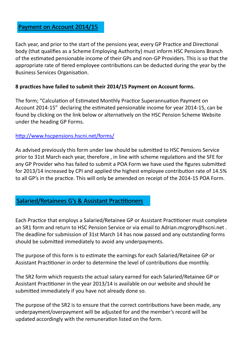## Payment on Account 2014/15

Each year, and prior to the start of the pensions year, every GP Practice and Directional body (that qualifies as a Scheme Employing Authority) must inform HSC Pensions Branch of the estimated pensionable income of their GPs and non-GP Providers. This is so that the appropriate rate of tiered employee contributions can be deducted during the year by the Business Services Organisation.

#### **8 practices have failed to submit their 2014/15 Payment on Account forms.**

The form; "Calculation of Estimated Monthly Practice Superannuation Payment on Account 2014-15" declaring the estimated pensionable income for year 2014-15, can be found by clicking on the link below or alternatively on the HSC Pension Scheme Website under the heading GP Forms.

#### <http://www.hscpensions.hscni.net/forms/>

As advised previously this form under law should be submitted to HSC Pensions Service prior to 31st March each year, therefore , in line with scheme regulations and the SFE for any GP Provider who has failed to submit a POA Form we have used the figures submitted for 2013/14 increased by CPI and applied the highest employee contribution rate of 14.5% to all GP's in the practice. This will only be amended on receipt of the 2014-15 POA Form.

## Salaried/Retainees G's & Assistant Practitioners

Each Practice that employs a Salaried/Retainee GP or Assistant Practitioner must complete an SR1 form and return to HSC Pension Service or via email to Adrian.mcgrory@hscni.net. The deadline for submission of 31st March 14 has now passed and any outstanding forms should be submitted immediately to avoid any underpayments.

The purpose of this form is to estimate the earnings for each Salaried/Retainee GP or Assistant Practitioner in order to determine the level of contributions due monthly.

The SR2 form which requests the actual salary earned for each Salaried/Retainee GP or Assistant Practitioner in the year 2013/14 is available on our website and should be submitted immediately if you have not already done so.

The purpose of the SR2 is to ensure that the correct contributions have been made, any underpayment/overpayment will be adjusted for and the member's record will be updated accordingly with the remuneration listed on the form.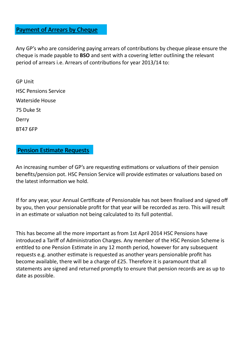## Payment of Arrears by Cheque

Any GP's who are considering paying arrears of contributions by cheque please ensure the cheque is made payable to **BSO** and sent with a covering letter outlining the relevant period of arrears i.e. Arrears of contributions for year 2013/14 to:

GP Unit HSC Pensions Service Waterside House 75 Duke St Derry BT47 6FP

## Pension Estimate Requests

An increasing number of GP's are requesting estimations or valuations of their pension benefits/pension pot. HSC Pension Service will provide estimates or valuations based on the latest information we hold.

If for any year, your Annual Certificate of Pensionable has not been finalised and signed off by you, then your pensionable profit for that year will be recorded as zero. This will result in an estimate or valuation not being calculated to its full potential.

This has become all the more important as from 1st April 2014 HSC Pensions have introduced a Tariff of Administration Charges. Any member of the HSC Pension Scheme is entitled to one Pension Estimate in any 12 month period, however for any subsequent requests e.g. another estimate is requested as another years pensionable profit has become available, there will be a charge of £25. Therefore it is paramount that all statements are signed and returned promptly to ensure that pension records are as up to date as possible.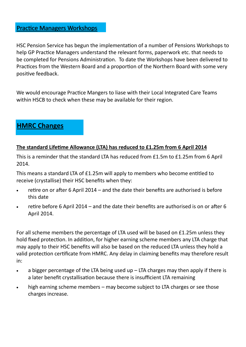HSC Pension Service has begun the implementation of a number of Pensions Workshops to help GP Practice Managers understand the relevant forms, paperwork etc. that needs to be completed for Pensions Administration. To date the Workshops have been delivered to Practices from the Western Board and a proportion of the Northern Board with some very positive feedback.

We would encourage Practice Mangers to liase with their Local Integrated Care Teams within HSCB to check when these may be available for their region.

## **HMRC Changes**

#### **The standard Lifetime Allowance (LTA) has reduced to £1.25m from 6 April 2014**

This is a reminder that the standard LTA has reduced from £1.5m to £1.25m from 6 April 2014.

This means a standard LTA of £1.25m will apply to members who become entitled to receive (crystallise) their HSC benefits when they:

- retire on or after 6 April 2014 and the date their benefits are authorised is before this date
- retire before 6 April 2014 and the date their benefits are authorised is on or after 6 April 2014.

For all scheme members the percentage of LTA used will be based on £1.25m unless they hold fixed protection. In addition, for higher earning scheme members any LTA charge that may apply to their HSC benefits will also be based on the reduced LTA unless they hold a valid protection certificate from HMRC. Any delay in claiming benefits may therefore result in:

- $\bullet$  a bigger percentage of the LTA being used up  $-$  LTA charges may then apply if there is a later benefit crystallisation because there is insufficient LTA remaining
- high earning scheme members may become subject to LTA charges or see those charges increase.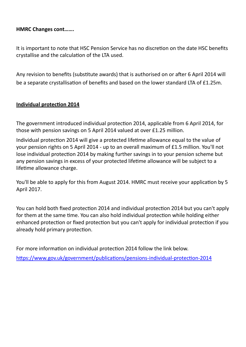## **HMRC Changes cont…….**

It is important to note that HSC Pension Service has no discretion on the date HSC benefits crystallise and the calculation of the LTA used.

Any revision to benefits (substitute awards) that is authorised on or after 6 April 2014 will be a separate crystallisation of benefits and based on the lower standard LTA of £1.25m.

#### **Individual protection 2014**

The government introduced individual protection 2014, applicable from 6 April 2014, for those with pension savings on 5 April 2014 valued at over £1.25 million.

Individual protection 2014 will give a protected lifetime allowance equal to the value of your pension rights on 5 April 2014 - up to an overall maximum of £1.5 million. You'll not lose individual protection 2014 by making further savings in to your pension scheme but any pension savings in excess of your protected lifetime allowance will be subject to a lifetime allowance charge.

You'll be able to apply for this from August 2014. HMRC must receive your application by 5 April 2017.

You can hold both fixed protection 2014 and individual protection 2014 but you can't apply for them at the same time. You can also hold individual protection while holding either enhanced protection or fixed protection but you can't apply for individual protection if you already hold primary protection.

For more information on individual protection 2014 follow the link below.

[https://www.gov.uk/government/publications/pensions](https://www.gov.uk/government/publications/pensions-individual-protection-2014)-individual-protection-2014